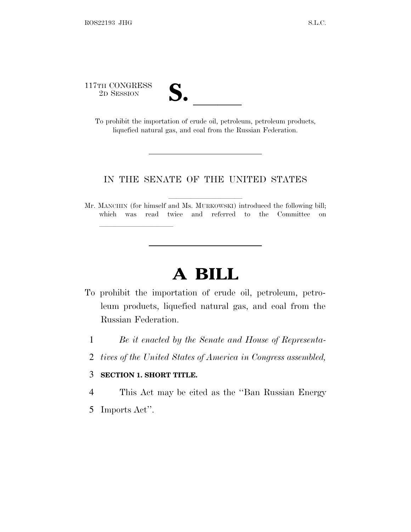117TH CONGRESS<br>2D SESSION

| $\overline{\phantom{a}}$ |  |
|--------------------------|--|

TH CONGRESS<br>
2D SESSION<br>
To prohibit the importation of crude oil, petroleum, petroleum products, liquefied natural gas, and coal from the Russian Federation.

## IN THE SENATE OF THE UNITED STATES

Mr. MANCHIN (for himself and Ms. MURKOWSKI) introduced the following bill; which was read twice and referred to the Committee on

## **A BILL**

- To prohibit the importation of crude oil, petroleum, petroleum products, liquefied natural gas, and coal from the Russian Federation.
	- 1 *Be it enacted by the Senate and House of Representa-*
	- 2 *tives of the United States of America in Congress assembled,*

## 3 **SECTION 1. SHORT TITLE.**

lla se al consegue de la consegue de la consegue de la consegue de la consegue de la consegue de la consegue d<br>La consegue de la consegue de la consegue de la consegue de la consegue de la consegue de la consegue de la co

4 This Act may be cited as the ''Ban Russian Energy

5 Imports Act''.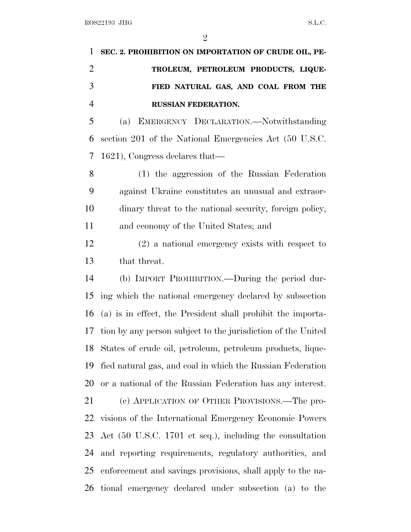| 1 SEC. 2. PROHIBITION ON IMPORTATION OF CRUDE OIL, PE- |
|--------------------------------------------------------|
| TROLEUM, PETROLEUM PRODUCTS, LIQUE-                    |
| FIED NATURAL GAS, AND COAL FROM THE                    |
| <b>RUSSIAN FEDERATION.</b>                             |

 (a) EMERGENCY DECLARATION.—Notwithstanding section 201 of the National Emergencies Act (50 U.S.C. 1621), Congress declares that—

 (1) the aggression of the Russian Federation against Ukraine constitutes an unusual and extraor- dinary threat to the national security, foreign policy, and economy of the United States; and

 (2) a national emergency exists with respect to that threat.

 (b) IMPORT PROHIBITION.—During the period dur- ing which the national emergency declared by subsection (a) is in effect, the President shall prohibit the importa- tion by any person subject to the jurisdiction of the United States of crude oil, petroleum, petroleum products, lique- fied natural gas, and coal in which the Russian Federation or a national of the Russian Federation has any interest. (c) APPLICATION OF OTHER PROVISIONS.—The pro- visions of the International Emergency Economic Powers Act (50 U.S.C. 1701 et seq.), including the consultation and reporting requirements, regulatory authorities, and enforcement and savings provisions, shall apply to the na-tional emergency declared under subsection (a) to the